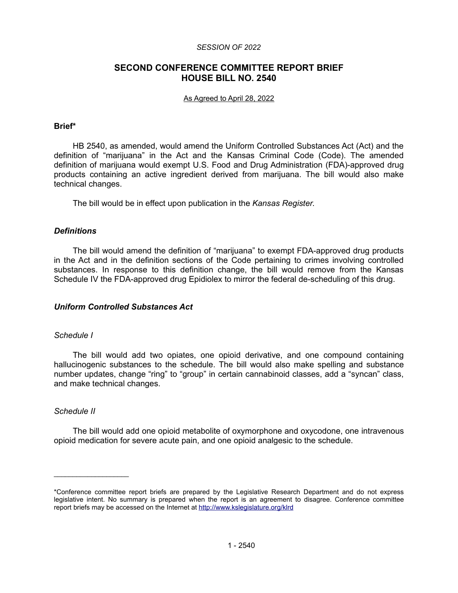#### *SESSION OF 2022*

# **SECOND CONFERENCE COMMITTEE REPORT BRIEF HOUSE BILL NO. 2540**

#### As Agreed to April 28, 2022

### **Brief\***

HB 2540, as amended, would amend the Uniform Controlled Substances Act (Act) and the definition of "marijuana" in the Act and the Kansas Criminal Code (Code). The amended definition of marijuana would exempt U.S. Food and Drug Administration (FDA)-approved drug products containing an active ingredient derived from marijuana. The bill would also make technical changes.

The bill would be in effect upon publication in the *Kansas Register*.

# *Definitions*

The bill would amend the definition of "marijuana" to exempt FDA-approved drug products in the Act and in the definition sections of the Code pertaining to crimes involving controlled substances. In response to this definition change, the bill would remove from the Kansas Schedule IV the FDA-approved drug Epidiolex to mirror the federal de-scheduling of this drug.

## *Uniform Controlled Substances Act*

#### *Schedule I*

The bill would add two opiates, one opioid derivative, and one compound containing hallucinogenic substances to the schedule. The bill would also make spelling and substance number updates, change "ring" to "group" in certain cannabinoid classes, add a "syncan" class, and make technical changes.

#### *Schedule II*

 $\mathcal{L}_\text{max}$  , where  $\mathcal{L}_\text{max}$ 

The bill would add one opioid metabolite of oxymorphone and oxycodone, one intravenous opioid medication for severe acute pain, and one opioid analgesic to the schedule.

<sup>\*</sup>Conference committee report briefs are prepared by the Legislative Research Department and do not express legislative intent. No summary is prepared when the report is an agreement to disagree. Conference committee report briefs may be accessed on the Internet at<http://www.kslegislature.org/klrd>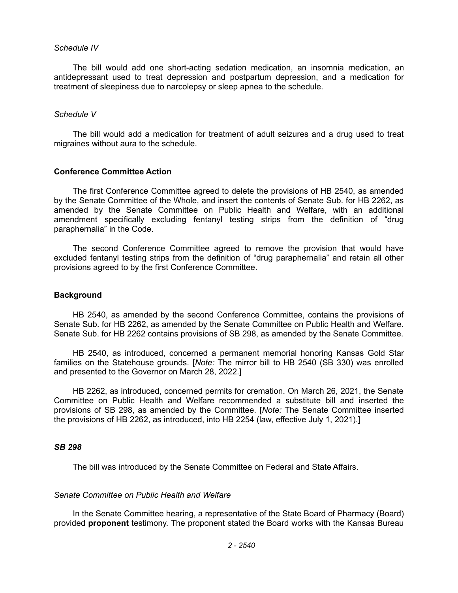#### *Schedule IV*

The bill would add one short-acting sedation medication, an insomnia medication, an antidepressant used to treat depression and postpartum depression, and a medication for treatment of sleepiness due to narcolepsy or sleep apnea to the schedule.

#### *Schedule V*

The bill would add a medication for treatment of adult seizures and a drug used to treat migraines without aura to the schedule.

## **Conference Committee Action**

The first Conference Committee agreed to delete the provisions of HB 2540, as amended by the Senate Committee of the Whole, and insert the contents of Senate Sub. for HB 2262, as amended by the Senate Committee on Public Health and Welfare, with an additional amendment specifically excluding fentanyl testing strips from the definition of "drug paraphernalia" in the Code.

The second Conference Committee agreed to remove the provision that would have excluded fentanyl testing strips from the definition of "drug paraphernalia" and retain all other provisions agreed to by the first Conference Committee.

### **Background**

HB 2540, as amended by the second Conference Committee, contains the provisions of Senate Sub. for HB 2262, as amended by the Senate Committee on Public Health and Welfare. Senate Sub. for HB 2262 contains provisions of SB 298, as amended by the Senate Committee.

HB 2540, as introduced, concerned a permanent memorial honoring Kansas Gold Star families on the Statehouse grounds. [*Note:* The mirror bill to HB 2540 (SB 330) was enrolled and presented to the Governor on March 28, 2022.]

HB 2262, as introduced, concerned permits for cremation. On March 26, 2021, the Senate Committee on Public Health and Welfare recommended a substitute bill and inserted the provisions of SB 298, as amended by the Committee. [*Note:* The Senate Committee inserted the provisions of HB 2262, as introduced, into HB 2254 (law, effective July 1, 2021).]

#### *SB 298*

The bill was introduced by the Senate Committee on Federal and State Affairs.

#### *Senate Committee on Public Health and Welfare*

In the Senate Committee hearing, a representative of the State Board of Pharmacy (Board) provided **proponent** testimony. The proponent stated the Board works with the Kansas Bureau